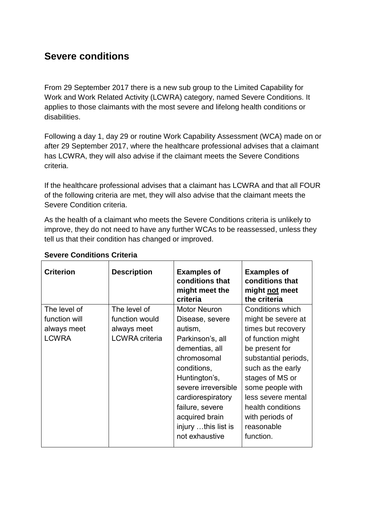## **Severe conditions**

From 29 September 2017 there is a new sub group to the Limited Capability for Work and Work Related Activity (LCWRA) category, named Severe Conditions. It applies to those claimants with the most severe and lifelong health conditions or disabilities.

Following a day 1, day 29 or routine Work Capability Assessment (WCA) made on or after 29 September 2017, where the healthcare professional advises that a claimant has LCWRA, they will also advise if the claimant meets the Severe Conditions criteria.

If the healthcare professional advises that a claimant has LCWRA and that all FOUR of the following criteria are met, they will also advise that the claimant meets the Severe Condition criteria.

As the health of a claimant who meets the Severe Conditions criteria is unlikely to improve, they do not need to have any further WCAs to be reassessed, unless they tell us that their condition has changed or improved.

| <b>Criterion</b> | <b>Description</b>    | <b>Examples of</b><br>conditions that<br>might meet the<br>criteria | <b>Examples of</b><br>conditions that<br>might not meet<br>the criteria |
|------------------|-----------------------|---------------------------------------------------------------------|-------------------------------------------------------------------------|
| The level of     | The level of          | <b>Motor Neuron</b>                                                 | Conditions which                                                        |
| function will    | function would        | Disease, severe                                                     | might be severe at                                                      |
| always meet      | always meet           | autism,                                                             | times but recovery                                                      |
| <b>LCWRA</b>     | <b>LCWRA</b> criteria | Parkinson's, all                                                    | of function might                                                       |
|                  |                       | dementias, all                                                      | be present for                                                          |
|                  |                       | chromosomal                                                         | substantial periods,                                                    |
|                  |                       | conditions,                                                         | such as the early                                                       |
|                  |                       | Huntington's,                                                       | stages of MS or                                                         |
|                  |                       | severe irreversible                                                 | some people with                                                        |
|                  |                       | cardiorespiratory                                                   | less severe mental                                                      |
|                  |                       | failure, severe                                                     | health conditions                                                       |
|                  |                       | acquired brain                                                      | with periods of                                                         |
|                  |                       | injury this list is                                                 | reasonable                                                              |
|                  |                       | not exhaustive                                                      | function.                                                               |
|                  |                       |                                                                     |                                                                         |

## **Severe Conditions Criteria**